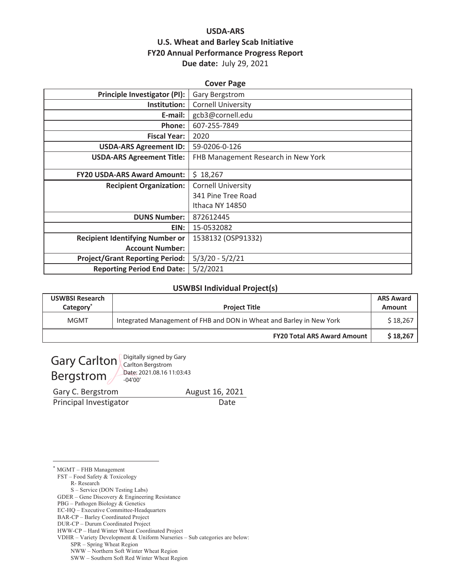# **USDA-ARS U.S. Wheat and Barley Scab Initiative FY20 Annual Performance Progress Report** Due date: July 29, 2021

| <b>Cover Page</b>                      |                                     |  |  |
|----------------------------------------|-------------------------------------|--|--|
| <b>Principle Investigator (PI):</b>    | Gary Bergstrom                      |  |  |
| Institution:                           | <b>Cornell University</b>           |  |  |
| E-mail:                                | gcb3@cornell.edu                    |  |  |
| Phone:                                 | 607-255-7849                        |  |  |
| <b>Fiscal Year:</b>                    | 2020                                |  |  |
| <b>USDA-ARS Agreement ID:</b>          | 59-0206-0-126                       |  |  |
| <b>USDA-ARS Agreement Title:</b>       | FHB Management Research in New York |  |  |
| <b>FY20 USDA-ARS Award Amount:</b>     | \$18,267                            |  |  |
|                                        |                                     |  |  |
| <b>Recipient Organization:</b>         | <b>Cornell University</b>           |  |  |
|                                        | 341 Pine Tree Road                  |  |  |
|                                        | Ithaca NY 14850                     |  |  |
| <b>DUNS Number:</b>                    | 872612445                           |  |  |
| EIN:                                   | 15-0532082                          |  |  |
| <b>Recipient Identifying Number or</b> | 1538132 (OSP91332)                  |  |  |
| <b>Account Number:</b>                 |                                     |  |  |
| <b>Project/Grant Reporting Period:</b> | $5/3/20 - 5/2/21$                   |  |  |
| <b>Reporting Period End Date:</b>      | 5/2/2021                            |  |  |

#### **USWBSI Individual Project(s)**

| <b>USWBSI Research</b><br>Category | <b>Project Title</b>                                                 | <b>ARS Award</b><br>Amount |
|------------------------------------|----------------------------------------------------------------------|----------------------------|
| MGMT                               | Integrated Management of FHB and DON in Wheat and Barley in New York | \$18,267                   |
|                                    | <b>FY20 Total ARS Award Amount</b>                                   | \$18.267                   |

Bergstrom

Gary Carlton Carlton Bergstrom Date: 2021.08.16 11:03:43  $-04'00'$ 

Gary C. Bergstrom

Principal Investigator

August 16, 2021 Date

\* MGMT - FHB Management

FST - Food Safety & Toxicology

R-Research

S - Service (DON Testing Labs)

GDER - Gene Discovery & Engineering Resistance

PBG - Pathogen Biology & Genetics

EC-HQ - Executive Committee-Headquarters

DUR-CP - Durum Coordinated Project

HWW-CP - Hard Winter Wheat Coordinated Project

VDHR - Variety Development & Uniform Nurseries - Sub categories are below:

SPR - Spring Wheat Region

NWW - Northern Soft Winter Wheat Region

SWW - Southern Soft Red Winter Wheat Region

BAR-CP - Barley Coordinated Project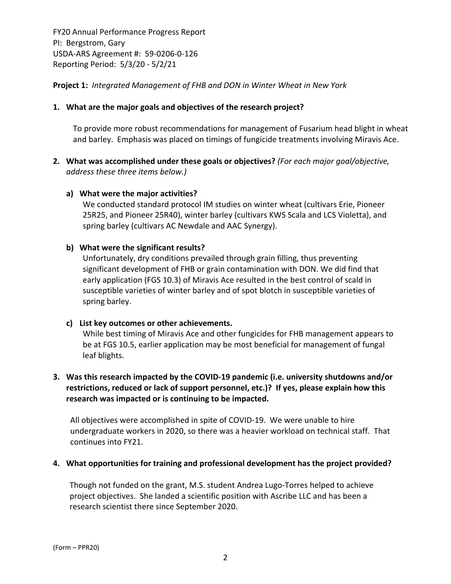**Project 1:** *Integrated Management of FHB and DON in Winter Wheat in New York*

## **1. What are the major goals and objectives of the research project?**

To provide more robust recommendations for management of Fusarium head blight in wheat and barley. Emphasis was placed on timings of fungicide treatments involving Miravis Ace.

**2. What was accomplished under these goals or objectives?** *(For each major goal/objective, address these three items below.)*

#### **a) What were the major activities?**

We conducted standard protocol IM studies on winter wheat (cultivars Erie, Pioneer 25R25, and Pioneer 25R40), winter barley (cultivars KWS Scala and LCS Violetta), and spring barley (cultivars AC Newdale and AAC Synergy).

### **b) What were the significant results?**

Unfortunately, dry conditions prevailed through grain filling, thus preventing significant development of FHB or grain contamination with DON. We did find that early application (FGS 10.3) of Miravis Ace resulted in the best control of scald in susceptible varieties of winter barley and of spot blotch in susceptible varieties of spring barley.

#### **c) List key outcomes or other achievements.**

While best timing of Miravis Ace and other fungicides for FHB management appears to be at FGS 10.5, earlier application may be most beneficial for management of fungal leaf blights.

# **3. Was this research impacted by the COVID‐19 pandemic (i.e. university shutdowns and/or restrictions, reduced or lack of support personnel, etc.)? If yes, please explain how this research was impacted or is continuing to be impacted.**

All objectives were accomplished in spite of COVID‐19. We were unable to hire undergraduate workers in 2020, so there was a heavier workload on technical staff. That continues into FY21.

#### **4. What opportunities for training and professional development has the project provided?**

Though not funded on the grant, M.S. student Andrea Lugo‐Torres helped to achieve project objectives. She landed a scientific position with Ascribe LLC and has been a research scientist there since September 2020.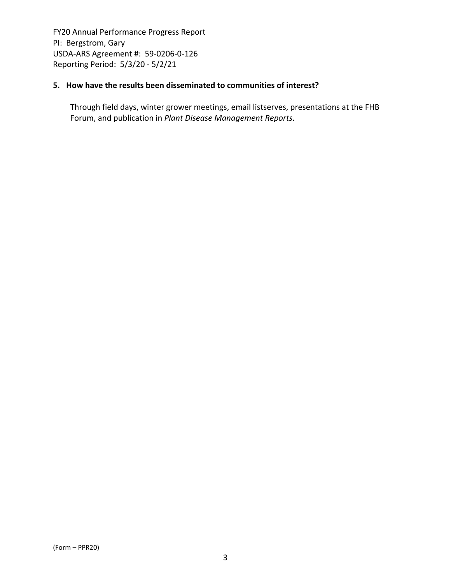### **5. How have the results been disseminated to communities of interest?**

Through field days, winter grower meetings, email listserves, presentations at the FHB Forum, and publication in *Plant Disease Management Reports*.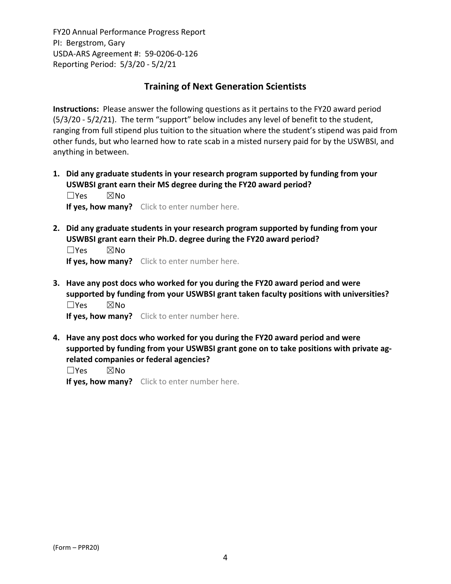# **Training of Next Generation Scientists**

**Instructions:** Please answer the following questions as it pertains to the FY20 award period (5/3/20 ‐ 5/2/21). The term "support" below includes any level of benefit to the student, ranging from full stipend plus tuition to the situation where the student's stipend was paid from other funds, but who learned how to rate scab in a misted nursery paid for by the USWBSI, and anything in between.

**1. Did any graduate students in your research program supported by funding from your USWBSI grant earn their MS degree during the FY20 award period?** ☐Yes ☒No

**If yes, how many?** Click to enter number here.

**2. Did any graduate students in your research program supported by funding from your USWBSI grant earn their Ph.D. degree during the FY20 award period?**

☐Yes ☒No **If yes, how many?** Click to enter number here.

**3. Have any post docs who worked for you during the FY20 award period and were supported by funding from your USWBSI grant taken faculty positions with universities?** ☐Yes ☒No

**If yes, how many?** Click to enter number here.

**4. Have any post docs who worked for you during the FY20 award period and were supported by funding from your USWBSI grant gone on to take positions with private ag‐ related companies or federal agencies?**

☐Yes ☒No

**If yes, how many?** Click to enter number here.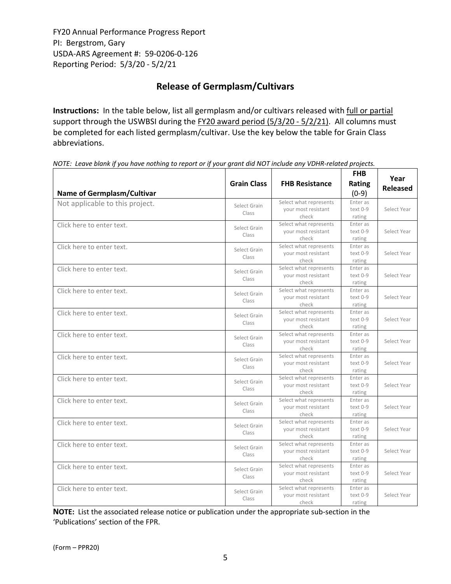# **Release of Germplasm/Cultivars**

**Instructions:** In the table below, list all germplasm and/or cultivars released with full or partial support through the USWBSI during the FY20 award period (5/3/20 - 5/2/21). All columns must be completed for each listed germplasm/cultivar. Use the key below the table for Grain Class abbreviations. 

NOTE: Leave blank if you have nothing to report or if your grant did NOT include any VDHR-related projects.

| <b>Name of Germplasm/Cultivar</b> | <b>Grain Class</b>    | <b>FHB Resistance</b>                                  | <b>FHB</b><br>Rating<br>$(0-9)$  | Year<br><b>Released</b> |
|-----------------------------------|-----------------------|--------------------------------------------------------|----------------------------------|-------------------------|
| Not applicable to this project.   | Select Grain<br>Class | Select what represents<br>your most resistant<br>check | Enter as<br>$text 0-9$<br>rating | Select Year             |
| Click here to enter text.         | Select Grain<br>Class | Select what represents<br>your most resistant<br>check | Enter as<br>text 0-9<br>rating   | Select Year             |
| Click here to enter text.         | Select Grain<br>Class | Select what represents<br>your most resistant<br>check | Enter as<br>text 0-9<br>rating   | Select Year             |
| Click here to enter text.         | Select Grain<br>Class | Select what represents<br>your most resistant<br>check | Enter as<br>text 0-9<br>rating   | Select Year             |
| Click here to enter text.         | Select Grain<br>Class | Select what represents<br>your most resistant<br>check | Enter as<br>text 0-9<br>rating   | Select Year             |
| Click here to enter text.         | Select Grain<br>Class | Select what represents<br>your most resistant<br>check | Enter as<br>text 0-9<br>rating   | Select Year             |
| Click here to enter text.         | Select Grain<br>Class | Select what represents<br>your most resistant<br>check | Enter as<br>text 0-9<br>rating   | Select Year             |
| Click here to enter text.         | Select Grain<br>Class | Select what represents<br>your most resistant<br>check | Enter as<br>text 0-9<br>rating   | Select Year             |
| Click here to enter text.         | Select Grain<br>Class | Select what represents<br>your most resistant<br>check | Enter as<br>text 0-9<br>rating   | Select Year             |
| Click here to enter text.         | Select Grain<br>Class | Select what represents<br>your most resistant<br>check | Enter as<br>text 0-9<br>rating   | Select Year             |
| Click here to enter text.         | Select Grain<br>Class | Select what represents<br>your most resistant<br>check | Enter as<br>text 0-9<br>rating   | Select Year             |
| Click here to enter text.         | Select Grain<br>Class | Select what represents<br>your most resistant<br>check | Enter as<br>text 0-9<br>rating   | Select Year             |
| Click here to enter text.         | Select Grain<br>Class | Select what represents<br>your most resistant<br>check | Enter as<br>text 0-9<br>rating   | Select Year             |
| Click here to enter text.         | Select Grain<br>Class | Select what represents<br>your most resistant<br>check | Enter as<br>text 0-9<br>rating   | Select Year             |

**NOTE:** List the associated release notice or publication under the appropriate sub-section in the 'Publications' section of the FPR.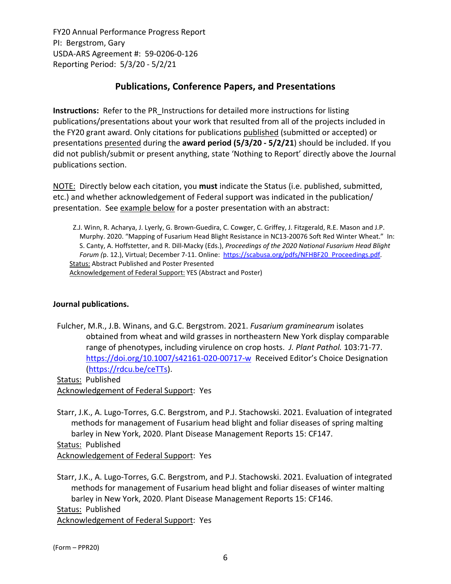# **Publications, Conference Papers, and Presentations**

**Instructions:** Refer to the PR\_Instructions for detailed more instructions for listing publications/presentations about your work that resulted from all of the projects included in the FY20 grant award. Only citations for publications published (submitted or accepted) or presentations presented during the **award period (5/3/20 ‐ 5/2/21**) should be included. If you did not publish/submit or present anything, state 'Nothing to Report' directly above the Journal publications section.

NOTE: Directly below each citation, you **must** indicate the Status (i.e. published, submitted, etc.) and whether acknowledgement of Federal support was indicated in the publication/ presentation. See example below for a poster presentation with an abstract:

Z.J. Winn, R. Acharya, J. Lyerly, G. Brown‐Guedira, C. Cowger, C. Griffey, J. Fitzgerald, R.E. Mason and J.P. Murphy. 2020. "Mapping of Fusarium Head Blight Resistance in NC13‐20076 Soft Red Winter Wheat." In: S. Canty, A. Hoffstetter, and R. Dill‐Macky (Eds.), *Proceedings of the 2020 National Fusarium Head Blight Forum (*p. 12.), Virtual; December 7‐11. Online: https://scabusa.org/pdfs/NFHBF20\_Proceedings.pdf. Status: Abstract Published and Poster Presented Acknowledgement of Federal Support: YES (Abstract and Poster)

# **Journal publications.**

Fulcher, M.R., J.B. Winans, and G.C. Bergstrom. 2021. *Fusarium graminearum* isolates obtained from wheat and wild grasses in northeastern New York display comparable range of phenotypes, including virulence on crop hosts. *J. Plant Pathol.* 103:71‐77. https://doi.org/10.1007/s42161-020-00717-w Received Editor's Choice Designation (https://rdcu.be/ceTTs).

Status: Published Acknowledgement of Federal Support: Yes

Starr, J.K., A. Lugo‐Torres, G.C. Bergstrom, and P.J. Stachowski. 2021. Evaluation of integrated methods for management of Fusarium head blight and foliar diseases of spring malting barley in New York, 2020. Plant Disease Management Reports 15: CF147. Status: Published Acknowledgement of Federal Support: Yes

Starr, J.K., A. Lugo‐Torres, G.C. Bergstrom, and P.J. Stachowski. 2021. Evaluation of integrated methods for management of Fusarium head blight and foliar diseases of winter malting barley in New York, 2020. Plant Disease Management Reports 15: CF146. Status: Published Acknowledgement of Federal Support: Yes

(Form – PPR20)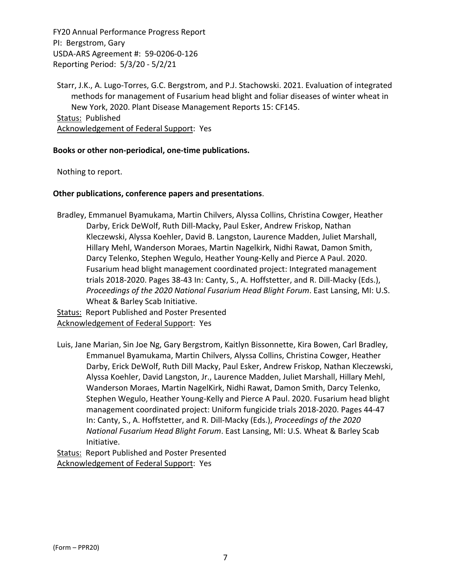Starr, J.K., A. Lugo‐Torres, G.C. Bergstrom, and P.J. Stachowski. 2021. Evaluation of integrated methods for management of Fusarium head blight and foliar diseases of winter wheat in New York, 2020. Plant Disease Management Reports 15: CF145. Status: Published Acknowledgement of Federal Support: Yes

#### **Books or other non‐periodical, one‐time publications.**

Nothing to report.

#### **Other publications, conference papers and presentations**.

Bradley, Emmanuel Byamukama, Martin Chilvers, Alyssa Collins, Christina Cowger, Heather Darby, Erick DeWolf, Ruth Dill‐Macky, Paul Esker, Andrew Friskop, Nathan Kleczewski, Alyssa Koehler, David B. Langston, Laurence Madden, Juliet Marshall, Hillary Mehl, Wanderson Moraes, Martin Nagelkirk, Nidhi Rawat, Damon Smith, Darcy Telenko, Stephen Wegulo, Heather Young‐Kelly and Pierce A Paul. 2020. Fusarium head blight management coordinated project: Integrated management trials 2018‐2020. Pages 38‐43 In: Canty, S., A. Hoffstetter, and R. Dill‐Macky (Eds.), *Proceedings of the 2020 National Fusarium Head Blight Forum*. East Lansing, MI: U.S. Wheat & Barley Scab Initiative.

Status: Report Published and Poster Presented Acknowledgement of Federal Support: Yes

Luis, Jane Marian, Sin Joe Ng, Gary Bergstrom, Kaitlyn Bissonnette, Kira Bowen, Carl Bradley, Emmanuel Byamukama, Martin Chilvers, Alyssa Collins, Christina Cowger, Heather Darby, Erick DeWolf, Ruth Dill Macky, Paul Esker, Andrew Friskop, Nathan Kleczewski, Alyssa Koehler, David Langston, Jr., Laurence Madden, Juliet Marshall, Hillary Mehl, Wanderson Moraes, Martin NagelKirk, Nidhi Rawat, Damon Smith, Darcy Telenko, Stephen Wegulo, Heather Young‐Kelly and Pierce A Paul. 2020. Fusarium head blight management coordinated project: Uniform fungicide trials 2018‐2020. Pages 44‐47 In: Canty, S., A. Hoffstetter, and R. Dill‐Macky (Eds.), *Proceedings of the 2020 National Fusarium Head Blight Forum*. East Lansing, MI: U.S. Wheat & Barley Scab Initiative.

Status: Report Published and Poster Presented Acknowledgement of Federal Support: Yes